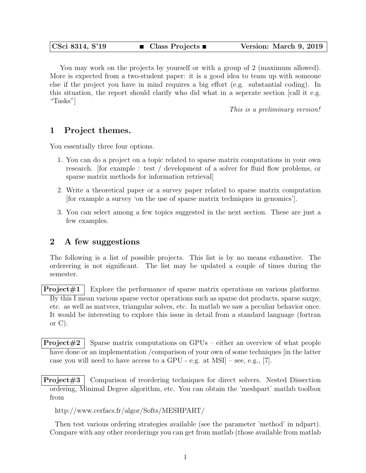You may work on the projects by yourself or with a group of 2 (maximum allowed). More is expected from a two-student paper: it is a good idea to team up with someone else if the project you have in mind requires a big effort (e.g. substantial coding). In this situation, the report should clarify who did what in a seperate section [call it e.g. "Tasks"]

This is a preliminary version!

## 1 Project themes.

You essentially three four options.

- 1. You can do a project on a topic related to sparse matrix computations in your own research. [for example : test / development of a solver for fluid flow problems, or sparse matrix methods for information retrieval]
- 2. Write a theoretical paper or a survey paper related to sparse matrix computation [for example a survey 'on the use of sparse matrix techniques in genomics'].
- 3. You can select among a few topics suggested in the next section. These are just a few examples.

## 2 A few suggestions

The following is a list of possible projects. This list is by no means exhaustive. The orderering is not significant. The list may be updated a couple of times during the semester.

**Project**#1 Explore the performance of sparse matrix operations on various platforms. By this  $\overline{I}$  mean various sparse vector operations such as sparse dot products, sparse saxpy, etc. as well as matvecs, triangular solves, etc. In matlab we saw a peculiar behavior once. It would be interesting to explore this issue in detail from a standard language (fortran or  $C$ ).

**Project**#2 Sparse matrix computations on GPUs – either an overview of what people have done or an implementation /comparison of your own of some techniques [in the latter case you will need to have access to a GPU - e.g. at  $MSI$  – see, e.g., [7].

**Project**#3 Comparison of reordering techniques for direct solvers. Nested Dissection ordering, Minimal Degree algorithm, etc. You can obtain the 'meshpart' matlab toolbox from

http://www.cerfacs.fr/algor/Softs/MESHPART/

Then test various ordering strategies available (see the parameter 'method' in ndpart). Compare with any other reorderings you can get from matlab (those available from matlab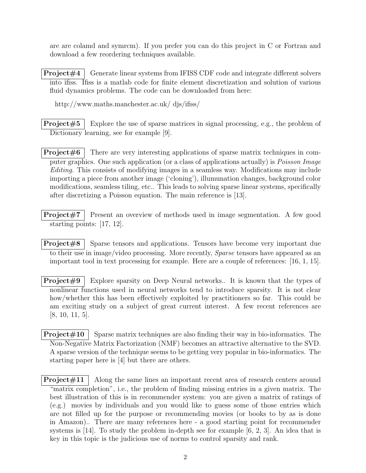are are colamd and symrcm). If you prefer you can do this project in C or Fortran and download a few reordering techniques available.

**Project**#4 Generate linear systems from IFISS CDF code and integrate different solvers into ifiss. Ifiss is a matlab code for finite element discretization and solution of various fluid dynamics problems. The code can be downloaded from here:

http://www.maths.manchester.ac.uk/ djs/ifiss/

**Project**#5 Explore the use of sparse matrices in signal processing, e.g., the problem of Dictionary learning, see for example [9].

**Project** $\#6$  There are very interesting applications of sparse matrix techniques in computer graphics. One such application (or a class of applications actually) is *Poisson Image* Editing. This consists of modifying images in a seamless way. Modifications may include importing a piece from another image ('cloning'), illumunation changes, background color modifications, seamless tiling, etc.. This leads to solving sparse linear systems, specifically after discretizing a Poisson equation. The main reference is [13].

**Project**#7 Present an overview of methods used in image segmentation. A few good starting points: [17, 12].

**Project** $\#8$  Sparse tensors and applications. Tensors have become very important due to their use in image/video processing. More recently, *Sparse* tensors have appeared as an important tool in text processing for example. Here are a couple of references: [16, 1, 15].

**Project** $\#9$  Explore sparsity on Deep Neural networks.. It is known that the types of nonlinear functions used in neural networks tend to introduce sparsity. It is not clear how/whether this has been effectively exploited by practitioners so far. This could be am exciting study on a subject of great current interest. A few recent references are [8, 10, 11, 5].

**Project** $\#10$  Sparse matrix techniques are also finding their way in bio-informatics. The Non-Negative Matrix Factorization (NMF) becomes an attractive alternative to the SVD. A sparse version of the technique seems to be getting very popular in bio-informatics. The starting paper here is [4] but there are others.

**Project** $\#11$  | Along the same lines an important recent area of research centers around "matrix completion", i.e., the problem of finding missing entries in a given matrix. The best illustration of this is in recommender system: you are given a matrix of ratings of (e.g.) movies by individuals and you would like to guess some of those entries which are not filled up for the purpose or recommending movies (or books to by as is done in Amazon).. There are many references here - a good starting point for recommender systems is [14]. To study the problem in-depth see for example [6, 2, 3]. An idea that is key in this topic is the judicious use of norms to control sparsity and rank.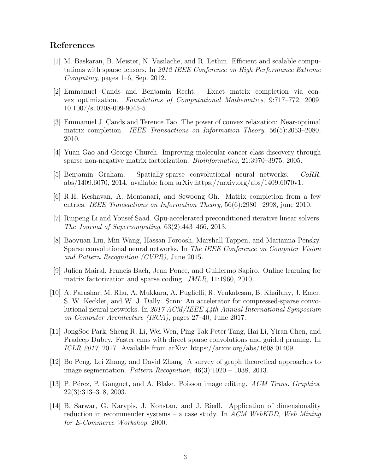## References

- [1] M. Baskaran, B. Meister, N. Vasilache, and R. Lethin. Efficient and scalable computations with sparse tensors. In 2012 IEEE Conference on High Performance Extreme Computing, pages 1–6, Sep. 2012.
- [2] Emmanuel Cands and Benjamin Recht. Exact matrix completion via convex optimization. Foundations of Computational Mathematics, 9:717–772, 2009. 10.1007/s10208-009-9045-5.
- [3] Emmanuel J. Cands and Terence Tao. The power of convex relaxation: Near-optimal matrix completion. IEEE Transactions on Information Theory, 56(5):2053–2080, 2010.
- [4] Yuan Gao and George Church. Improving molecular cancer class discovery through sparse non-negative matrix factorization. Bioinformatics, 21:3970–3975, 2005.
- [5] Benjamin Graham. Spatially-sparse convolutional neural networks. CoRR, abs/1409.6070, 2014. available from arXiv:https://arxiv.org/abs/1409.6070v1.
- [6] R.H. Keshavan, A. Montanari, and Sewoong Oh. Matrix completion from a few entries. IEEE Transactions on Information Theory, 56(6):2980 –2998, june 2010.
- [7] Ruipeng Li and Yousef Saad. Gpu-accelerated preconditioned iterative linear solvers. The Journal of Supercomputing, 63(2):443–466, 2013.
- [8] Baoyuan Liu, Min Wang, Hassan Foroosh, Marshall Tappen, and Marianna Pensky. Sparse convolutional neural networks. In The IEEE Conference on Computer Vision and Pattern Recognition (CVPR), June 2015.
- [9] Julien Mairal, Francis Bach, Jean Ponce, and Guillermo Sapiro. Online learning for matrix factorization and sparse coding. JMLR, 11:1960, 2010.
- [10] A. Parashar, M. Rhu, A. Mukkara, A. Puglielli, R. Venkatesan, B. Khailany, J. Emer, S. W. Keckler, and W. J. Dally. Scnn: An accelerator for compressed-sparse convolutional neural networks. In 2017 ACM/IEEE 44th Annual International Symposium on Computer Architecture (ISCA), pages 27–40, June 2017.
- [11] JongSoo Park, Sheng R. Li, Wei Wen, Ping Tak Peter Tang, Hai Li, Yiran Chen, and Pradeep Dubey. Faster cnns with direct sparse convolutions and guided pruning. In ICLR 2017, 2017. Available from arXiv: https://arxiv.org/abs/1608.01409.
- [12] Bo Peng, Lei Zhang, and David Zhang. A survey of graph theoretical approaches to image segmentation. Pattern Recognition,  $46(3):1020 - 1038$ , 2013.
- [13] P. Pérez, P. Gangnet, and A. Blake. Poisson image editing. ACM Trans. Graphics, 22(3):313–318, 2003.
- [14] B. Sarwar, G. Karypis, J. Konstan, and J. Riedl. Application of dimensionality reduction in recommender systems – a case study. In ACM WebKDD, Web Mining for E-Commerce Workshop, 2000.